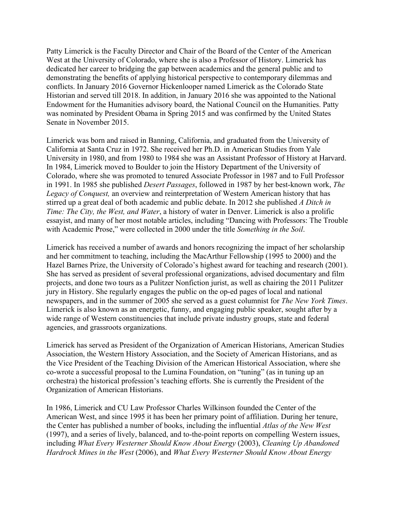Patty Limerick is the Faculty Director and Chair of the Board of the Center of the American West at the University of Colorado, where she is also a Professor of History. Limerick has dedicated her career to bridging the gap between academics and the general public and to demonstrating the benefits of applying historical perspective to contemporary dilemmas and conflicts. In January 2016 Governor Hickenlooper named Limerick as the Colorado State Historian and served till 2018. In addition, in January 2016 she was appointed to the National Endowment for the Humanities advisory board, the National Council on the Humanities. Patty was nominated by President Obama in Spring 2015 and was confirmed by the United States Senate in November 2015.

Limerick was born and raised in Banning, California, and graduated from the University of California at Santa Cruz in 1972. She received her Ph.D. in American Studies from Yale University in 1980, and from 1980 to 1984 she was an Assistant Professor of History at Harvard. In 1984, Limerick moved to Boulder to join the History Department of the University of Colorado, where she was promoted to tenured Associate Professor in 1987 and to Full Professor in 1991. In 1985 she published *Desert Passages*, followed in 1987 by her best-known work, *The Legacy of Conquest,* an overview and reinterpretation of Western American history that has stirred up a great deal of both academic and public debate. In 2012 she published *A Ditch in Time: The City, the West, and Water*, a history of water in Denver. Limerick is also a prolific essayist, and many of her most notable articles, including "Dancing with Professors: The Trouble with Academic Prose," were collected in 2000 under the title *Something in the Soil*.

Limerick has received a number of awards and honors recognizing the impact of her scholarship and her commitment to teaching, including the MacArthur Fellowship (1995 to 2000) and the Hazel Barnes Prize, the University of Colorado's highest award for teaching and research (2001). She has served as president of several professional organizations, advised documentary and film projects, and done two tours as a Pulitzer Nonfiction jurist, as well as chairing the 2011 Pulitzer jury in History. She regularly engages the public on the op-ed pages of local and national newspapers, and in the summer of 2005 she served as a guest columnist for *The New York Times*. Limerick is also known as an energetic, funny, and engaging public speaker, sought after by a wide range of Western constituencies that include private industry groups, state and federal agencies, and grassroots organizations.

Limerick has served as President of the Organization of American Historians, American Studies Association, the Western History Association, and the Society of American Historians, and as the Vice President of the Teaching Division of the American Historical Association, where she co-wrote a successful proposal to the Lumina Foundation, on "tuning" (as in tuning up an orchestra) the historical profession's teaching efforts. She is currently the President of the Organization of American Historians.

In 1986, Limerick and CU Law Professor Charles Wilkinson founded the Center of the American West, and since 1995 it has been her primary point of affiliation. During her tenure, the Center has published a number of books, including the influential *Atlas of the New West* (1997), and a series of lively, balanced, and to-the-point reports on compelling Western issues, including *What Every Westerner Should Know About Energy* (2003), *Cleaning Up Abandoned Hardrock Mines in the West* (2006), and *What Every Westerner Should Know About Energy*